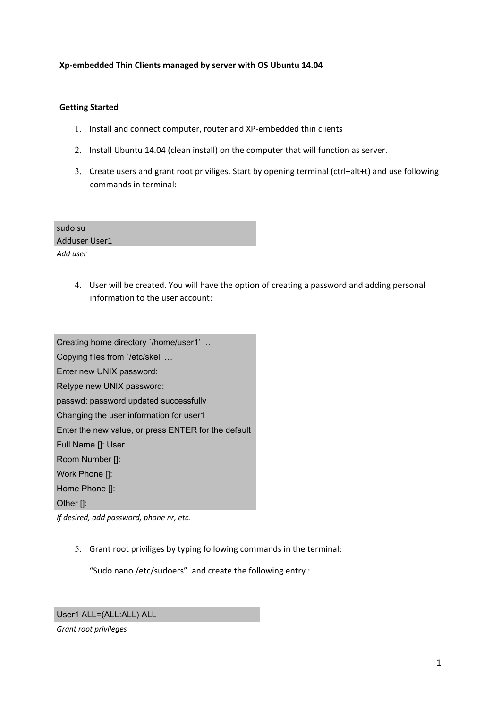## **Xp-embedded Thin Clients managed by server with OS Ubuntu 14.04**

## **Getting Started**

- 1. Install and connect computer, router and XP-embedded thin clients
- 2. Install Ubuntu 14.04 (clean install) on the computer that will function as server.
- 3. Create users and grant root priviliges. Start by opening terminal (ctrl+alt+t) and use following commands in terminal:

| sudo su       |  |  |
|---------------|--|--|
| Adduser User1 |  |  |
| Add user      |  |  |

4. User will be created. You will have the option of creating a password and adding personal information to the user account:

Creating home directory `/home/user1' … Copying files from `/etc/skel' … Enter new UNIX password: Retype new UNIX password: passwd: password updated successfully Changing the user information for user1 Enter the new value, or press ENTER for the default Full Name []: User Room Number []: Work Phone []: Home Phone []: Other []:

*If desired, add password, phone nr, etc.*

5. Grant root priviliges by typing following commands in the terminal:

"Sudo nano /etc/sudoers" and create the following entry :

# User1 ALL=(ALL:ALL) ALL

*Grant root privileges*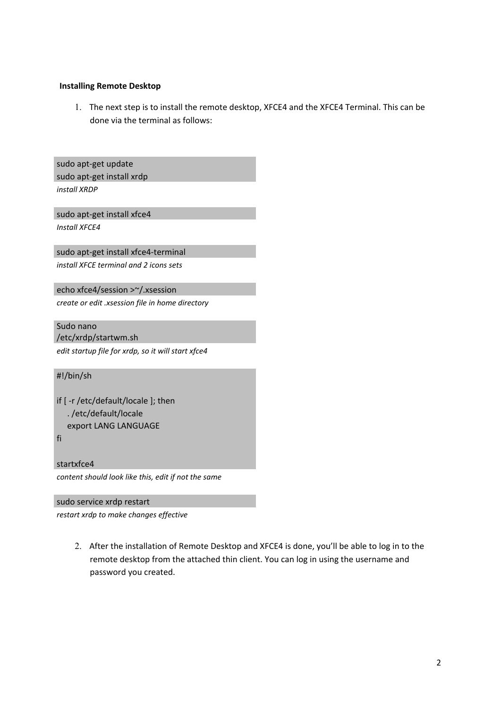#### **Installing Remote Desktop**

1. The next step is to install the remote desktop, XFCE4 and the XFCE4 Terminal. This can be done via the terminal as follows:

sudo apt-get update sudo apt-get install xrdp *install XRDP*

sudo apt-get install xfce4 *Install XFCE4*

sudo apt-get install xfce4-terminal *install XFCE terminal and 2 icons sets*

echo xfce4/session >~/.xsession *create or edit .xsession file in home directory*

Sudo nano /etc/xrdp/startwm.sh *edit startup file for xrdp, so it will start xfce4*

#!/bin/sh

if [ -r /etc/default/locale ]; then . /etc/default/locale export LANG LANGUAGE

fi

startxfce4

*content should look like this, edit if not the same*

# sudo service xrdp restart

*restart xrdp to make changes effective*

2. After the installation of Remote Desktop and XFCE4 is done, you'll be able to log in to the remote desktop from the attached thin client. You can log in using the username and password you created.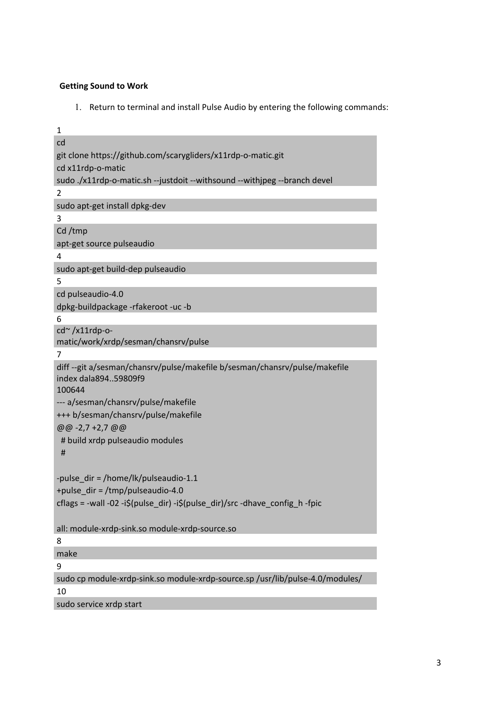# **Getting Sound to Work**

1. Return to terminal and install Pulse Audio by entering the following commands:

| 1                                                                                                 |
|---------------------------------------------------------------------------------------------------|
| cd                                                                                                |
| git clone https://github.com/scarygliders/x11rdp-o-matic.git                                      |
| cd x11rdp-o-matic                                                                                 |
| sudo ./x11rdp-o-matic.sh --justdoit --withsound --withjpeg --branch devel                         |
| 2                                                                                                 |
| sudo apt-get install dpkg-dev                                                                     |
| 3                                                                                                 |
| Cd/tmp                                                                                            |
| apt-get source pulseaudio                                                                         |
| 4                                                                                                 |
| sudo apt-get build-dep pulseaudio                                                                 |
| 5                                                                                                 |
| cd pulseaudio-4.0                                                                                 |
| dpkg-buildpackage -rfakeroot -uc -b                                                               |
| 6                                                                                                 |
| $cd\sim$ /x11rdp-o-                                                                               |
| matic/work/xrdp/sesman/chansrv/pulse                                                              |
| 7                                                                                                 |
| diff--git a/sesman/chansrv/pulse/makefile b/sesman/chansrv/pulse/makefile<br>index dala89459809f9 |
| 100644                                                                                            |
| --- a/sesman/chansrv/pulse/makefile                                                               |
| +++ b/sesman/chansrv/pulse/makefile                                                               |
| @@-2,7+2,7@@                                                                                      |
| # build xrdp pulseaudio modules                                                                   |
| #                                                                                                 |
|                                                                                                   |
| -pulse_dir = /home/lk/pulseaudio-1.1                                                              |
| +pulse_dir = /tmp/pulseaudio-4.0                                                                  |
| cflags = -wall -02 -i\$(pulse_dir) -i\$(pulse_dir)/src -dhave_config_h -fpic                      |
|                                                                                                   |
| all: module-xrdp-sink.so module-xrdp-source.so                                                    |
| 8                                                                                                 |
| make                                                                                              |
| 9                                                                                                 |
| sudo cp module-xrdp-sink.so module-xrdp-source.sp /usr/lib/pulse-4.0/modules/                     |
| 10                                                                                                |
| sudo service xrdp start                                                                           |